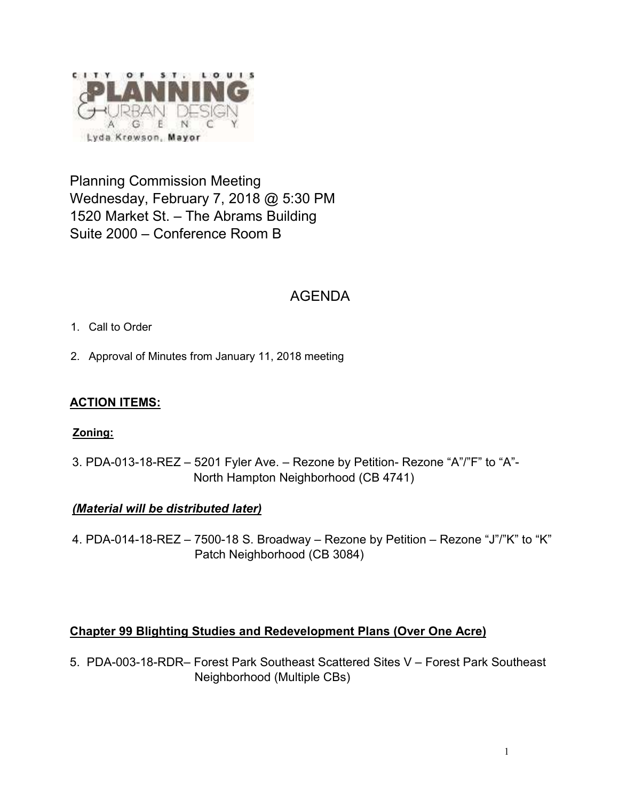

Planning Commission Meeting Wednesday, February 7, 2018 @ 5:30 PM 1520 Market St. – The Abrams Building Suite 2000 – Conference Room B

# AGENDA

- 1. Call to Order
- 2. Approval of Minutes from January 11, 2018 meeting

# **ACTION ITEMS:**

#### **Zoning:**

3. PDA-013-18-REZ – 5201 Fyler Ave. – Rezone by Petition- Rezone "A"/"F" to "A"- North Hampton Neighborhood (CB 4741)

# *(Material will be distributed later)*

4. PDA-014-18-REZ – 7500-18 S. Broadway – Rezone by Petition – Rezone "J"/"K" to "K" Patch Neighborhood (CB 3084)

# **Chapter 99 Blighting Studies and Redevelopment Plans (Over One Acre)**

5. PDA-003-18-RDR– Forest Park Southeast Scattered Sites V – Forest Park Southeast Neighborhood (Multiple CBs)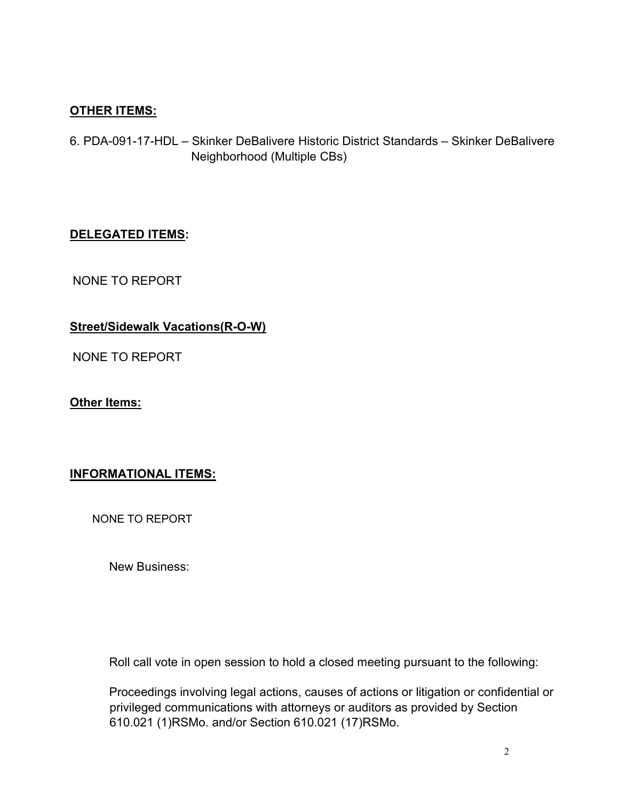# **OTHER ITEMS:**

6. PDA-091-17-HDL – Skinker DeBalivere Historic District Standards – Skinker DeBalivere Neighborhood (Multiple CBs)

#### **DELEGATED ITEMS:**

NONE TO REPORT

# **Street/Sidewalk Vacations(R-O-W)**

NONE TO REPORT

#### **Other Items:**

# **INFORMATIONAL ITEMS:**

NONE TO REPORT

New Business:

Roll call vote in open session to hold a closed meeting pursuant to the following:

Proceedings involving legal actions, causes of actions or litigation or confidential or privileged communications with attorneys or auditors as provided by Section 610.021 (1)RSMo. and/or Section 610.021 (17)RSMo.